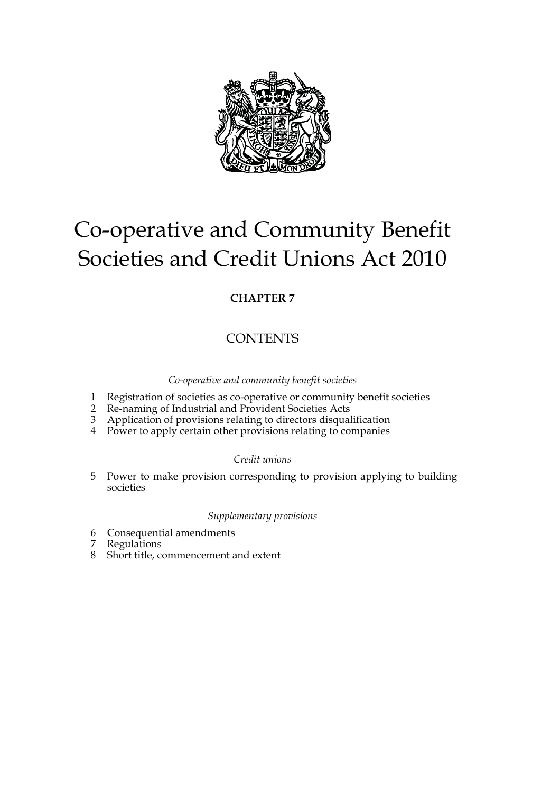

# Co-operative and Community Benefit Societies and Credit Unions Act 2010

## **CHAPTER 7**

# **CONTENTS**

*Co-operative and community benefit societies*

- 1 Registration of societies as co-operative or community benefit societies
- 2 Re-naming of Industrial and Provident Societies Acts
- 3 Application of provisions relating to directors disqualification
- 4 Power to apply certain other provisions relating to companies

### *Credit unions*

5 Power to make provision corresponding to provision applying to building societies

## *Supplementary provisions*

- 6 Consequential amendments
- **Regulations**
- 8 Short title, commencement and extent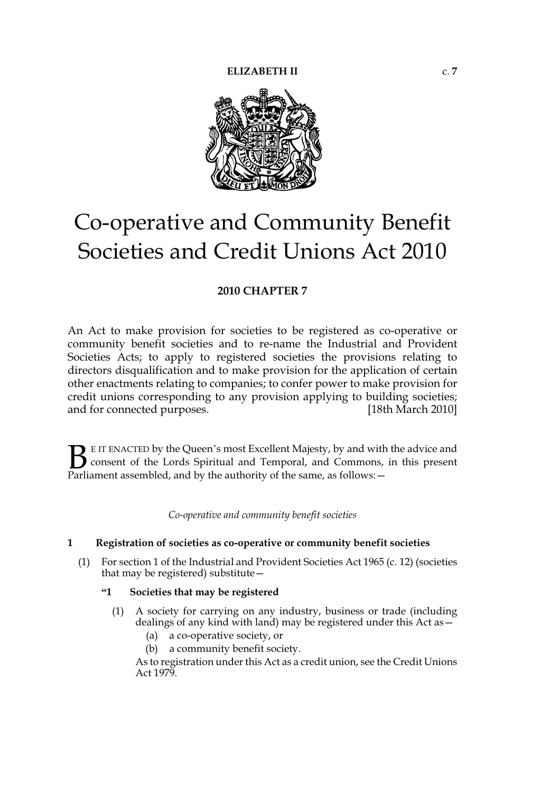

# Co-operative and Community Benefit Societies and Credit Unions Act 2010

### **2010 CHAPTER 7**

An Act to make provision for societies to be registered as co-operative or community benefit societies and to re-name the Industrial and Provident Societies Acts; to apply to registered societies the provisions relating to directors disqualification and to make provision for the application of certain other enactments relating to companies; to confer power to make provision for credit unions corresponding to any provision applying to building societies; and for connected purposes. [18th March 2010]

E IT ENACTED by the Queen's most Excellent Majesty, by and with the advice and consent of the Lords Spiritual and Temporal, and Commons, in this present **B** E IT ENACTED by the Queen's most Excellent Majesty, by and with consent of the Lords Spiritual and Temporal, and Commons, Parliament assembled, and by the authority of the same, as follows:  $-$ 

*Co-operative and community benefit societies*

#### **1 Registration of societies as co-operative or community benefit societies**

(1) For section 1 of the Industrial and Provident Societies Act 1965 (c. 12) (societies that may be registered) substitute—

#### **"1 Societies that may be registered**

- (1) A society for carrying on any industry, business or trade (including dealings of any kind with land) may be registered under this Act as—
	- (a) a co-operative society, or
	- (b) a community benefit society.

As to registration under this Act as a credit union, see the Credit Unions Act 1979.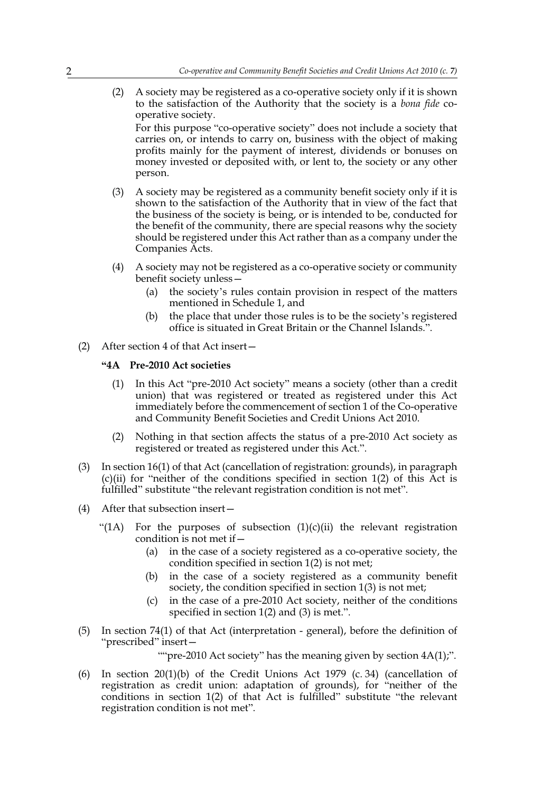(2) A society may be registered as a co-operative society only if it is shown to the satisfaction of the Authority that the society is a *bona fide* cooperative society.

For this purpose "co-operative society" does not include a society that carries on, or intends to carry on, business with the object of making profits mainly for the payment of interest, dividends or bonuses on money invested or deposited with, or lent to, the society or any other person.

- (3) A society may be registered as a community benefit society only if it is shown to the satisfaction of the Authority that in view of the fact that the business of the society is being, or is intended to be, conducted for the benefit of the community, there are special reasons why the society should be registered under this Act rather than as a company under the Companies Acts.
- (4) A society may not be registered as a co-operative society or community benefit society unless—
	- (a) the society's rules contain provision in respect of the matters mentioned in Schedule 1, and
	- (b) the place that under those rules is to be the society's registered office is situated in Great Britain or the Channel Islands.".
- (2) After section 4 of that Act insert—

#### **"4A Pre-2010 Act societies**

- (1) In this Act "pre-2010 Act society" means a society (other than a credit union) that was registered or treated as registered under this Act immediately before the commencement of section 1 of the Co-operative and Community Benefit Societies and Credit Unions Act 2010.
- (2) Nothing in that section affects the status of a pre-2010 Act society as registered or treated as registered under this Act.".
- (3) In section 16(1) of that Act (cancellation of registration: grounds), in paragraph  $(c)(ii)$  for "neither of the conditions specified in section  $1(2)$  of this Act is fulfilled" substitute "the relevant registration condition is not met".
- (4) After that subsection insert—
	- "(1A) For the purposes of subsection  $(1)(c)(ii)$  the relevant registration condition is not met if—
		- (a) in the case of a society registered as a co-operative society, the condition specified in section 1(2) is not met;
		- (b) in the case of a society registered as a community benefit society, the condition specified in section 1(3) is not met;
		- (c) in the case of a pre-2010 Act society, neither of the conditions specified in section 1(2) and (3) is met.".
- (5) In section 74(1) of that Act (interpretation general), before the definition of "prescribed" insert—

""pre-2010 Act society" has the meaning given by section  $4A(1)$ ;".

(6) In section 20(1)(b) of the Credit Unions Act 1979 (c. 34) (cancellation of registration as credit union: adaptation of grounds), for "neither of the conditions in section 1(2) of that Act is fulfilled" substitute "the relevant registration condition is not met".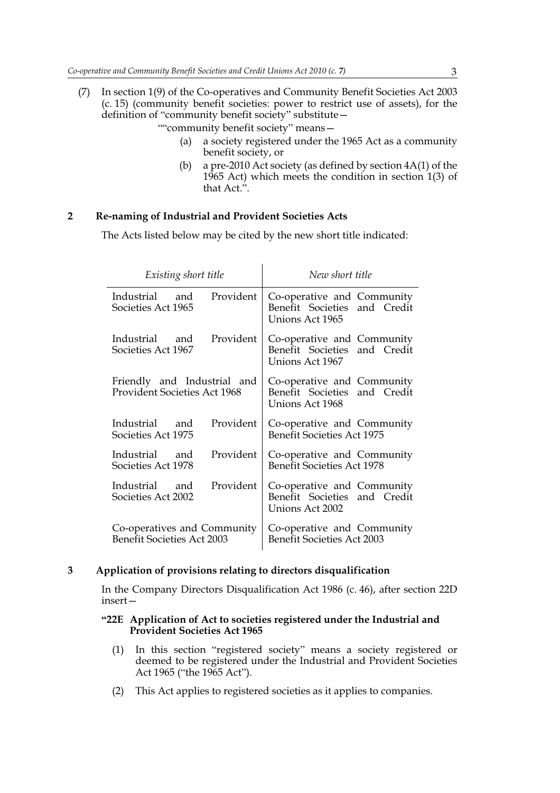- (7) In section 1(9) of the Co-operatives and Community Benefit Societies Act 2003 (c. 15) (community benefit societies: power to restrict use of assets), for the definition of "community benefit society" substitute—
	- ""community benefit society" means—
		- (a) a society registered under the 1965 Act as a community benefit society, or
		- (b) a pre-2010 Act society (as defined by section 4A(1) of the 1965 Act) which meets the condition in section 1(3) of that Act.".

#### **2 Re-naming of Industrial and Provident Societies Acts**

The Acts listed below may be cited by the new short title indicated:

| Existing short title                                               | New short title                                                               |
|--------------------------------------------------------------------|-------------------------------------------------------------------------------|
| Provident                                                          | Co-operative and Community                                                    |
| Industrial and                                                     | Benefit Societies and Credit                                                  |
| Societies Act 1965                                                 | Unions Act 1965                                                               |
| Industrial and                                                     | Co-operative and Community                                                    |
| Provident                                                          | Benefit Societies and Credit                                                  |
| Societies Act 1967                                                 | Unions Act 1967                                                               |
| Friendly and Industrial and<br><b>Provident Societies Act 1968</b> | Co-operative and Community<br>Benefit Societies and Credit<br>Unions Act 1968 |
| Provident<br>Industrial and<br>Societies Act 1975                  | Co-operative and Community<br><b>Benefit Societies Act 1975</b>               |
| Provident<br>Industrial and<br>Societies Act 1978                  | Co-operative and Community<br><b>Benefit Societies Act 1978</b>               |
| Provident                                                          | Co-operative and Community                                                    |
| Industrial and                                                     | Benefit Societies and Credit                                                  |
| Societies Act 2002                                                 | Unions Act 2002                                                               |
| Co-operatives and Community                                        | Co-operative and Community                                                    |
| <b>Benefit Societies Act 2003</b>                                  | <b>Benefit Societies Act 2003</b>                                             |

#### **3 Application of provisions relating to directors disqualification**

In the Company Directors Disqualification Act 1986 (c. 46), after section 22D insert—

#### **"22E Application of Act to societies registered under the Industrial and Provident Societies Act 1965**

- (1) In this section "registered society" means a society registered or deemed to be registered under the Industrial and Provident Societies Act 1965 ("the 1965 Act").
- (2) This Act applies to registered societies as it applies to companies.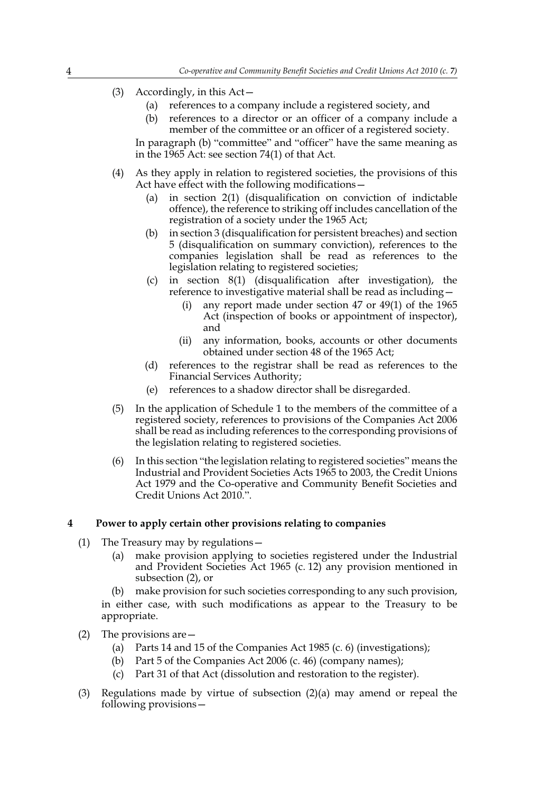- (3) Accordingly, in this Act—
	- (a) references to a company include a registered society, and
	- (b) references to a director or an officer of a company include a member of the committee or an officer of a registered society.

In paragraph (b) "committee" and "officer" have the same meaning as in the 1965 Act: see section 74(1) of that Act.

- (4) As they apply in relation to registered societies, the provisions of this Act have effect with the following modifications—
	- (a) in section 2(1) (disqualification on conviction of indictable offence), the reference to striking off includes cancellation of the registration of a society under the 1965 Act;
	- (b) in section 3 (disqualification for persistent breaches) and section 5 (disqualification on summary conviction), references to the companies legislation shall be read as references to the legislation relating to registered societies;
	- (c) in section 8(1) (disqualification after investigation), the reference to investigative material shall be read as including
		- any report made under section  $47$  or  $49(1)$  of the 1965 Act (inspection of books or appointment of inspector), and
		- (ii) any information, books, accounts or other documents obtained under section 48 of the 1965 Act;
	- (d) references to the registrar shall be read as references to the Financial Services Authority;
	- (e) references to a shadow director shall be disregarded.
- (5) In the application of Schedule 1 to the members of the committee of a registered society, references to provisions of the Companies Act 2006 shall be read as including references to the corresponding provisions of the legislation relating to registered societies.
- (6) In this section "the legislation relating to registered societies" means the Industrial and Provident Societies Acts 1965 to 2003, the Credit Unions Act 1979 and the Co-operative and Community Benefit Societies and Credit Unions Act 2010.".

#### **4 Power to apply certain other provisions relating to companies**

- (1) The Treasury may by regulations—
	- (a) make provision applying to societies registered under the Industrial and Provident Societies Act 1965 (c. 12) any provision mentioned in subsection (2), or

(b) make provision for such societies corresponding to any such provision, in either case, with such modifications as appear to the Treasury to be appropriate.

- (2) The provisions are—
	- (a) Parts 14 and 15 of the Companies Act 1985 (c. 6) (investigations);
	- (b) Part 5 of the Companies Act 2006 (c. 46) (company names);
	- (c) Part 31 of that Act (dissolution and restoration to the register).
- (3) Regulations made by virtue of subsection (2)(a) may amend or repeal the following provisions—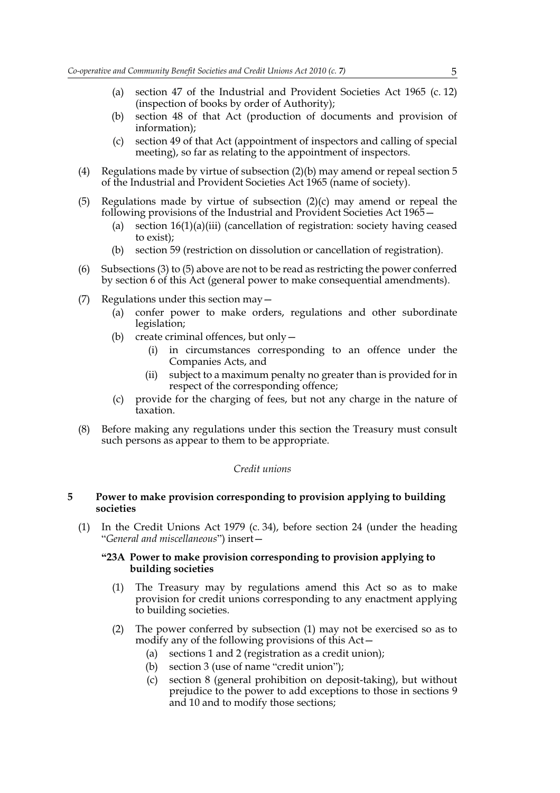- (a) section 47 of the Industrial and Provident Societies Act 1965 (c. 12) (inspection of books by order of Authority);
- (b) section 48 of that Act (production of documents and provision of information);
- (c) section 49 of that Act (appointment of inspectors and calling of special meeting), so far as relating to the appointment of inspectors.
- (4) Regulations made by virtue of subsection (2)(b) may amend or repeal section 5 of the Industrial and Provident Societies Act 1965 (name of society).
- (5) Regulations made by virtue of subsection  $(2)(c)$  may amend or repeal the following provisions of the Industrial and Provident Societies Act 1965—
	- (a) section 16(1)(a)(iii) (cancellation of registration: society having ceased to exist);
	- (b) section 59 (restriction on dissolution or cancellation of registration).
- (6) Subsections (3) to (5) above are not to be read as restricting the power conferred by section 6 of this Act (general power to make consequential amendments).
- (7) Regulations under this section may—
	- (a) confer power to make orders, regulations and other subordinate legislation;
	- (b) create criminal offences, but only  $-$ 
		- (i) in circumstances corresponding to an offence under the Companies Acts, and
		- (ii) subject to a maximum penalty no greater than is provided for in respect of the corresponding offence;
	- (c) provide for the charging of fees, but not any charge in the nature of taxation.
- (8) Before making any regulations under this section the Treasury must consult such persons as appear to them to be appropriate.

#### *Credit unions*

#### **5 Power to make provision corresponding to provision applying to building societies**

(1) In the Credit Unions Act 1979 (c. 34), before section 24 (under the heading "*General and miscellaneous*") insert—

#### **"23A Power to make provision corresponding to provision applying to building societies**

- (1) The Treasury may by regulations amend this Act so as to make provision for credit unions corresponding to any enactment applying to building societies.
- (2) The power conferred by subsection (1) may not be exercised so as to modify any of the following provisions of this Act—
	- (a) sections 1 and 2 (registration as a credit union);
	- (b) section 3 (use of name "credit union");
	- (c) section 8 (general prohibition on deposit-taking), but without prejudice to the power to add exceptions to those in sections 9 and 10 and to modify those sections;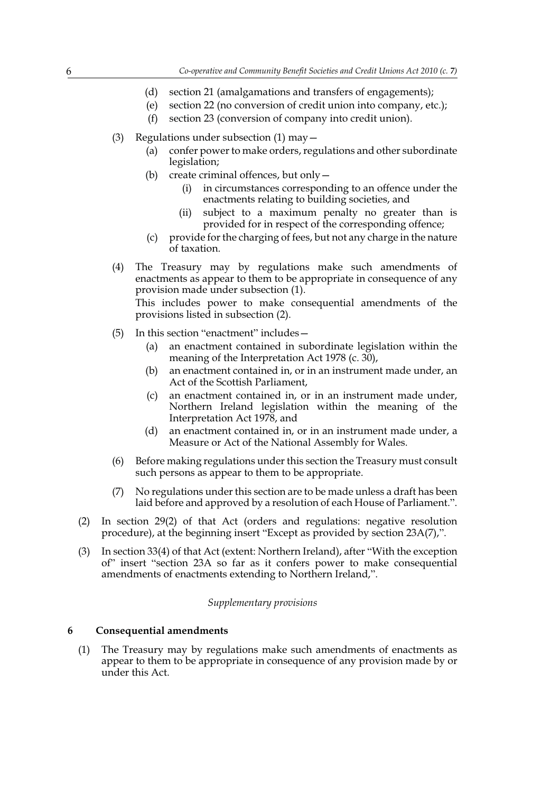- (d) section 21 (amalgamations and transfers of engagements);
- (e) section 22 (no conversion of credit union into company, etc.);
- (f) section 23 (conversion of company into credit union).
- (3) Regulations under subsection  $(1)$  may  $-$ 
	- (a) confer power to make orders, regulations and other subordinate legislation;
	- (b) create criminal offences, but only  $-$ 
		- (i) in circumstances corresponding to an offence under the enactments relating to building societies, and
		- (ii) subject to a maximum penalty no greater than is provided for in respect of the corresponding offence;
	- (c) provide for the charging of fees, but not any charge in the nature of taxation.
- (4) The Treasury may by regulations make such amendments of enactments as appear to them to be appropriate in consequence of any provision made under subsection (1).

This includes power to make consequential amendments of the provisions listed in subsection (2).

- (5) In this section "enactment" includes—
	- (a) an enactment contained in subordinate legislation within the meaning of the Interpretation Act 1978 (c. 30),
	- (b) an enactment contained in, or in an instrument made under, an Act of the Scottish Parliament,
	- (c) an enactment contained in, or in an instrument made under, Northern Ireland legislation within the meaning of the Interpretation Act 1978, and
	- (d) an enactment contained in, or in an instrument made under, a Measure or Act of the National Assembly for Wales.
- (6) Before making regulations under this section the Treasury must consult such persons as appear to them to be appropriate.
- (7) No regulations under this section are to be made unless a draft has been laid before and approved by a resolution of each House of Parliament.".
- (2) In section 29(2) of that Act (orders and regulations: negative resolution procedure), at the beginning insert "Except as provided by section 23A(7),".
- (3) In section 33(4) of that Act (extent: Northern Ireland), after "With the exception of" insert "section 23A so far as it confers power to make consequential amendments of enactments extending to Northern Ireland,".

#### *Supplementary provisions*

#### **6 Consequential amendments**

(1) The Treasury may by regulations make such amendments of enactments as appear to them to be appropriate in consequence of any provision made by or under this Act.